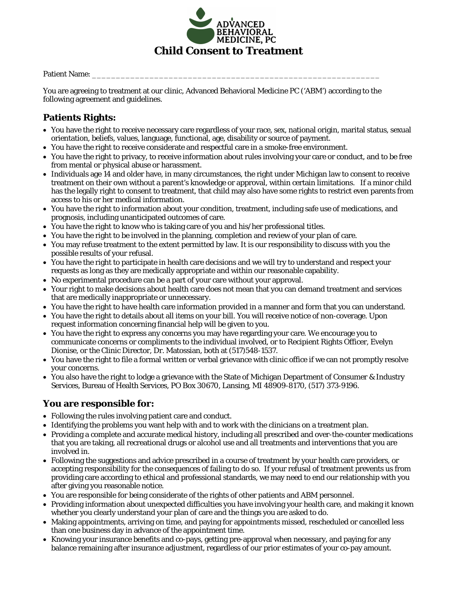

Patient Name:

You are agreeing to treatment at our clinic, Advanced Behavioral Medicine PC ('ABM') according to the following agreement and guidelines.

# **Patients Rights:**

- You have the right to receive necessary care regardless of your race, sex, national origin, marital status, sexual orientation, beliefs, values, language, functional, age, disability or source of payment.
- You have the right to receive considerate and respectful care in a smoke-free environment.
- You have the right to privacy, to receive information about rules involving your care or conduct, and to be free from mental or physical abuse or harassment.
- Individuals age 14 and older have, in many circumstances, the right under Michigan law to consent to receive treatment on their own without a parent's knowledge or approval, within certain limitations. If a minor child has the legally right to consent to treatment, that child may also have some rights to restrict even parents from access to his or her medical information.
- You have the right to information about your condition, treatment, including safe use of medications, and prognosis, including unanticipated outcomes of care.
- You have the right to know who is taking care of you and his/her professional titles.
- You have the right to be involved in the planning, completion and review of your plan of care.
- You may refuse treatment to the extent permitted by law. It is our responsibility to discuss with you the possible results of your refusal.
- You have the right to participate in health care decisions and we will try to understand and respect your requests as long as they are medically appropriate and within our reasonable capability.
- No experimental procedure can be a part of your care without your approval.
- Your right to make decisions about health care does not mean that you can demand treatment and services that are medically inappropriate or unnecessary.
- You have the right to have health care information provided in a manner and form that you can understand.
- You have the right to details about all items on your bill. You will receive notice of non-coverage. Upon request information concerning financial help will be given to you.
- You have the right to express any concerns you may have regarding your care. We encourage you to communicate concerns or compliments to the individual involved, or to Recipient Rights Officer, Evelyn Dionise, or the Clinic Director, Dr. Matossian, both at (517)548-1537.
- You have the right to file a formal written or verbal grievance with clinic office if we can not promptly resolve your concerns.
- You also have the right to lodge a grievance with the State of Michigan Department of Consumer & Industry Services, Bureau of Health Services, PO Box 30670, Lansing, MI 48909-8170, (517) 373-9196.

# **You are responsible for:**

- Following the rules involving patient care and conduct.
- Identifying the problems you want help with and to work with the clinicians on a treatment plan.
- Providing a complete and accurate medical history, including all prescribed and over-the-counter medications that you are taking, all recreational drugs or alcohol use and all treatments and interventions that you are involved in.
- Following the suggestions and advice prescribed in a course of treatment by your health care providers, or accepting responsibility for the consequences of failing to do so. If your refusal of treatment prevents us from providing care according to ethical and professional standards, we may need to end our relationship with you after giving you reasonable notice.
- You are responsible for being considerate of the rights of other patients and ABM personnel.
- Providing information about unexpected difficulties you have involving your health care, and making it known whether you clearly understand your plan of care and the things you are asked to do.
- Making appointments, arriving on time, and paying for appointments missed, rescheduled or cancelled less than one business day in advance of the appointment time.
- Knowing your insurance benefits and co-pays, getting pre-approval when necessary, and paying for any balance remaining after insurance adjustment, regardless of our prior estimates of your co-pay amount.